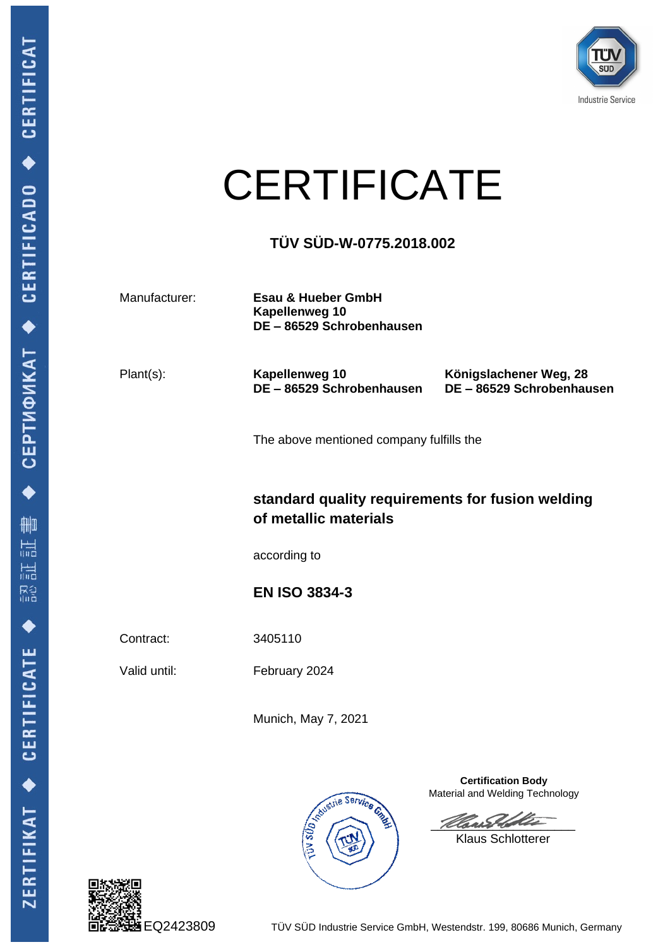

## **CERTIFICATE**

## **TÜV SÜD-W-0775.2018.002**

Manufacturer: **Esau & Hueber GmbH Kapellenweg 10 DE – 86529 Schrobenhausen** 

Plant(s): **Kapellenweg 10 DE – 86529 Schrobenhausen** **Königslachener Weg, 28 DE – 86529 Schrobenhausen**

The above mentioned company fulfills the

## **standard quality requirements for fusion welding of metallic materials**

according to

<span id="page-0-0"></span>**EN ISO 3834-3**

Contract: 3405110

Valid until: February 2024

Munich, May 7, 2021





**Certification Body** Material and Welding Technology

\_\_\_\_\_\_\_\_\_\_\_\_\_\_\_\_\_\_\_\_\_

Klaus Schlotterer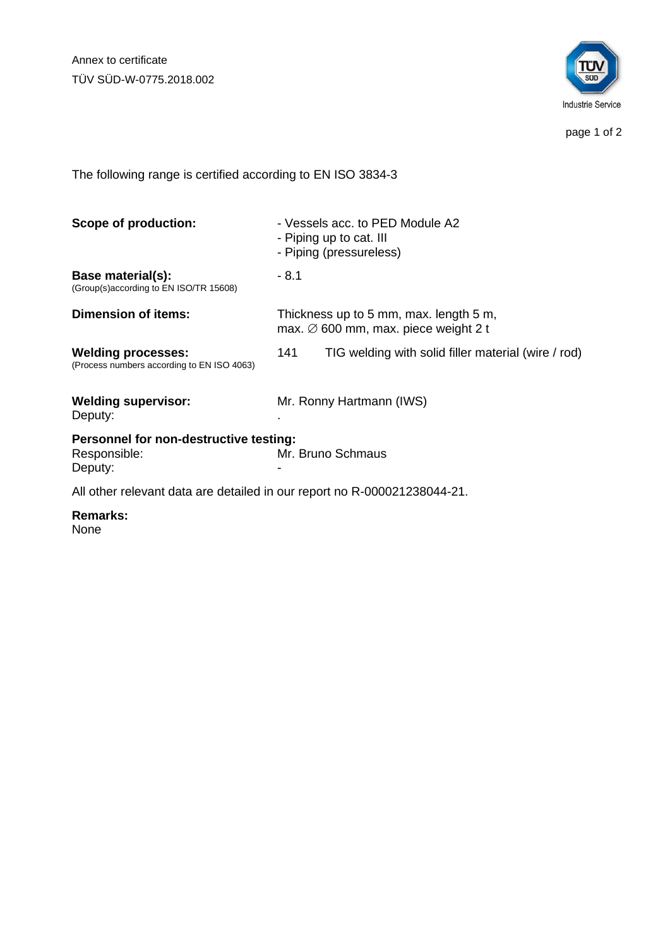Annex to certificate TÜV SÜD-W-0775.2018.002



page 1 of 2

The following range is certified according to [EN ISO 3834-3](#page-0-0)

| Scope of production:                                                     | - Vessels acc. to PED Module A2<br>- Piping up to cat. III<br>- Piping (pressureless)      |                                                     |
|--------------------------------------------------------------------------|--------------------------------------------------------------------------------------------|-----------------------------------------------------|
| Base material(s):<br>(Group(s)according to EN ISO/TR 15608)              | - 8.1                                                                                      |                                                     |
| Dimension of items:                                                      | Thickness up to 5 mm, max. length 5 m,<br>max. $\varnothing$ 600 mm, max. piece weight 2 t |                                                     |
| <b>Welding processes:</b><br>(Process numbers according to EN ISO 4063)  | 141                                                                                        | TIG welding with solid filler material (wire / rod) |
| <b>Welding supervisor:</b><br>Deputy:                                    | Mr. Ronny Hartmann (IWS)                                                                   |                                                     |
| Personnel for non-destructive testing:<br>Responsible:<br>Deputy:        | Mr. Bruno Schmaus                                                                          |                                                     |
| All other relevant data are detailed in our report no R-000021238044-21. |                                                                                            |                                                     |

**Remarks:**

None